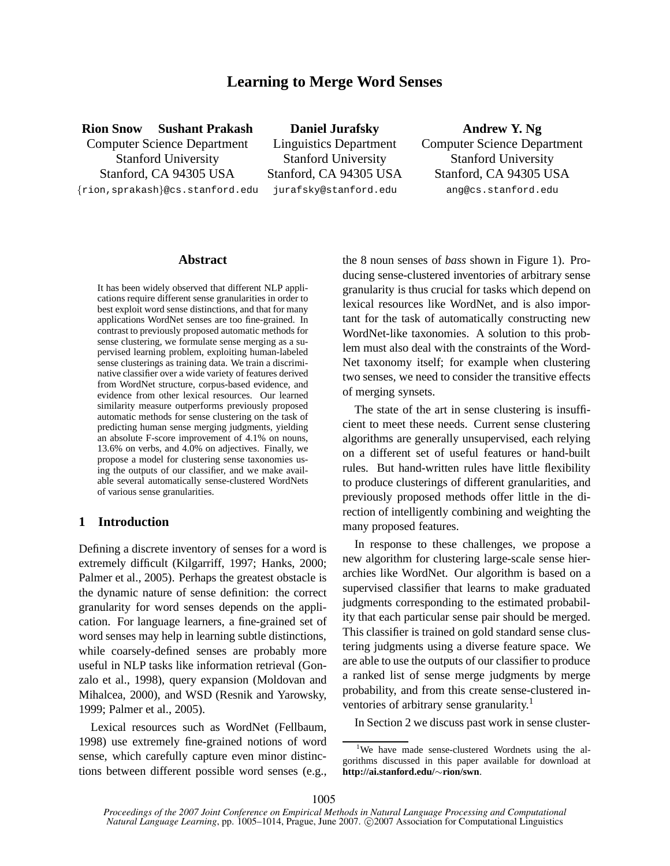# **Learning to Merge Word Senses**

**Rion Snow Sushant Prakash** Computer Science Department Stanford University Stanford, CA 94305 USA {rion,sprakash}@cs.stanford.edu

**Daniel Jurafsky** Linguistics Department Stanford University Stanford, CA 94305 USA jurafsky@stanford.edu

**Andrew Y. Ng** Computer Science Department Stanford University Stanford, CA 94305 USA ang@cs.stanford.edu

#### **Abstract**

It has been widely observed that different NLP applications require different sense granularities in order to best exploit word sense distinctions, and that for many applications WordNet senses are too fine-grained. In contrast to previously proposed automatic methods for sense clustering, we formulate sense merging as a supervised learning problem, exploiting human-labeled sense clusterings as training data. We train a discriminative classifier over a wide variety of features derived from WordNet structure, corpus-based evidence, and evidence from other lexical resources. Our learned similarity measure outperforms previously proposed automatic methods for sense clustering on the task of predicting human sense merging judgments, yielding an absolute F-score improvement of 4.1% on nouns, 13.6% on verbs, and 4.0% on adjectives. Finally, we propose a model for clustering sense taxonomies using the outputs of our classifier, and we make available several automatically sense-clustered WordNets of various sense granularities.

#### **1 Introduction**

Defining a discrete inventory of senses for a word is extremely difficult (Kilgarriff, 1997; Hanks, 2000; Palmer et al., 2005). Perhaps the greatest obstacle is the dynamic nature of sense definition: the correct granularity for word senses depends on the application. For language learners, a fine-grained set of word senses may help in learning subtle distinctions, while coarsely-defined senses are probably more useful in NLP tasks like information retrieval (Gonzalo et al., 1998), query expansion (Moldovan and Mihalcea, 2000), and WSD (Resnik and Yarowsky, 1999; Palmer et al., 2005).

Lexical resources such as WordNet (Fellbaum, 1998) use extremely fine-grained notions of word sense, which carefully capture even minor distinctions between different possible word senses (e.g., the 8 noun senses of *bass* shown in Figure 1). Producing sense-clustered inventories of arbitrary sense granularity is thus crucial for tasks which depend on lexical resources like WordNet, and is also important for the task of automatically constructing new WordNet-like taxonomies. A solution to this problem must also deal with the constraints of the Word-Net taxonomy itself; for example when clustering two senses, we need to consider the transitive effects of merging synsets.

The state of the art in sense clustering is insufficient to meet these needs. Current sense clustering algorithms are generally unsupervised, each relying on a different set of useful features or hand-built rules. But hand-written rules have little flexibility to produce clusterings of different granularities, and previously proposed methods offer little in the direction of intelligently combining and weighting the many proposed features.

In response to these challenges, we propose a new algorithm for clustering large-scale sense hierarchies like WordNet. Our algorithm is based on a supervised classifier that learns to make graduated judgments corresponding to the estimated probability that each particular sense pair should be merged. This classifier is trained on gold standard sense clustering judgments using a diverse feature space. We are able to use the outputs of our classifier to produce a ranked list of sense merge judgments by merge probability, and from this create sense-clustered inventories of arbitrary sense granularity.<sup>1</sup>

In Section 2 we discuss past work in sense cluster-

<sup>&</sup>lt;sup>1</sup>We have made sense-clustered Wordnets using the algorithms discussed in this paper available for download at **http://ai.stanford.edu/**∼**rion/swn**.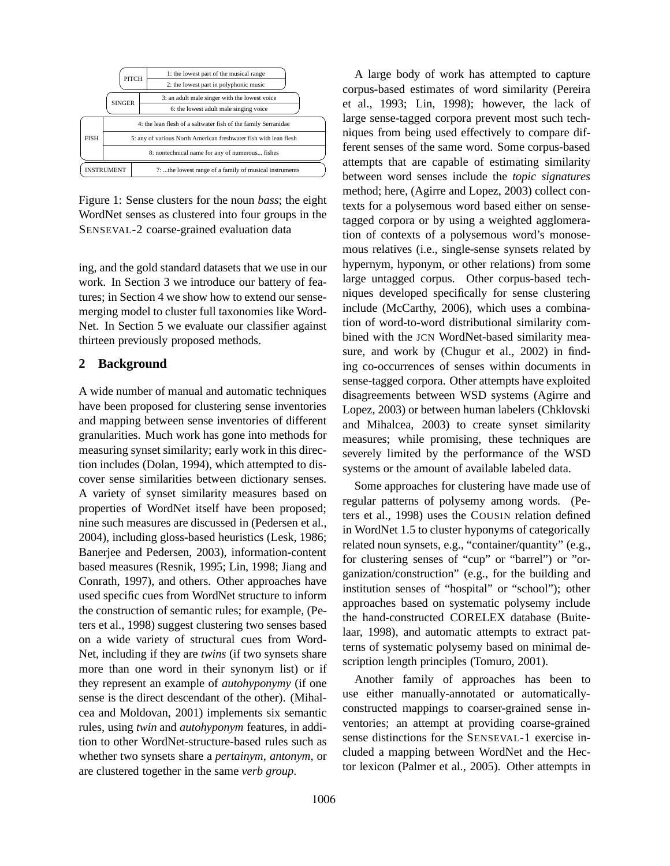|                   | <b>PITCH</b>                                                     | 1: the lowest part of the musical range<br>2: the lowest part in polyphonic music |  |  |  |
|-------------------|------------------------------------------------------------------|-----------------------------------------------------------------------------------|--|--|--|
|                   | <b>SINGER</b>                                                    | 3: an adult male singer with the lowest voice                                     |  |  |  |
|                   |                                                                  | 6: the lowest adult male singing voice                                            |  |  |  |
|                   | 4: the lean flesh of a saltwater fish of the family Serranidae   |                                                                                   |  |  |  |
| <b>FISH</b>       | 5: any of various North American freshwater fish with lean flesh |                                                                                   |  |  |  |
|                   | 8: nontechnical name for any of numerous fishes                  |                                                                                   |  |  |  |
| <b>INSTRUMENT</b> |                                                                  | 7: the lowest range of a family of musical instruments                            |  |  |  |

Figure 1: Sense clusters for the noun *bass*; the eight WordNet senses as clustered into four groups in the SENSEVAL-2 coarse-grained evaluation data

ing, and the gold standard datasets that we use in our work. In Section 3 we introduce our battery of features; in Section 4 we show how to extend our sensemerging model to cluster full taxonomies like Word-Net. In Section 5 we evaluate our classifier against thirteen previously proposed methods.

## **2 Background**

A wide number of manual and automatic techniques have been proposed for clustering sense inventories and mapping between sense inventories of different granularities. Much work has gone into methods for measuring synset similarity; early work in this direction includes (Dolan, 1994), which attempted to discover sense similarities between dictionary senses. A variety of synset similarity measures based on properties of WordNet itself have been proposed; nine such measures are discussed in (Pedersen et al., 2004), including gloss-based heuristics (Lesk, 1986; Banerjee and Pedersen, 2003), information-content based measures (Resnik, 1995; Lin, 1998; Jiang and Conrath, 1997), and others. Other approaches have used specific cues from WordNet structure to inform the construction of semantic rules; for example, (Peters et al., 1998) suggest clustering two senses based on a wide variety of structural cues from Word-Net, including if they are *twins* (if two synsets share more than one word in their synonym list) or if they represent an example of *autohyponymy* (if one sense is the direct descendant of the other). (Mihalcea and Moldovan, 2001) implements six semantic rules, using *twin* and *autohyponym* features, in addition to other WordNet-structure-based rules such as whether two synsets share a *pertainym*, *antonym*, or are clustered together in the same *verb group*.

A large body of work has attempted to capture corpus-based estimates of word similarity (Pereira et al., 1993; Lin, 1998); however, the lack of large sense-tagged corpora prevent most such techniques from being used effectively to compare different senses of the same word. Some corpus-based attempts that are capable of estimating similarity between word senses include the *topic signatures* method; here, (Agirre and Lopez, 2003) collect contexts for a polysemous word based either on sensetagged corpora or by using a weighted agglomeration of contexts of a polysemous word's monosemous relatives (i.e., single-sense synsets related by hypernym, hyponym, or other relations) from some large untagged corpus. Other corpus-based techniques developed specifically for sense clustering include (McCarthy, 2006), which uses a combination of word-to-word distributional similarity combined with the JCN WordNet-based similarity measure, and work by (Chugur et al., 2002) in finding co-occurrences of senses within documents in sense-tagged corpora. Other attempts have exploited disagreements between WSD systems (Agirre and Lopez, 2003) or between human labelers (Chklovski and Mihalcea, 2003) to create synset similarity measures; while promising, these techniques are severely limited by the performance of the WSD systems or the amount of available labeled data.

Some approaches for clustering have made use of regular patterns of polysemy among words. (Peters et al., 1998) uses the COUSIN relation defined in WordNet 1.5 to cluster hyponyms of categorically related noun synsets, e.g., "container/quantity" (e.g., for clustering senses of "cup" or "barrel") or "organization/construction" (e.g., for the building and institution senses of "hospital" or "school"); other approaches based on systematic polysemy include the hand-constructed CORELEX database (Buitelaar, 1998), and automatic attempts to extract patterns of systematic polysemy based on minimal description length principles (Tomuro, 2001).

Another family of approaches has been to use either manually-annotated or automaticallyconstructed mappings to coarser-grained sense inventories; an attempt at providing coarse-grained sense distinctions for the SENSEVAL-1 exercise included a mapping between WordNet and the Hector lexicon (Palmer et al., 2005). Other attempts in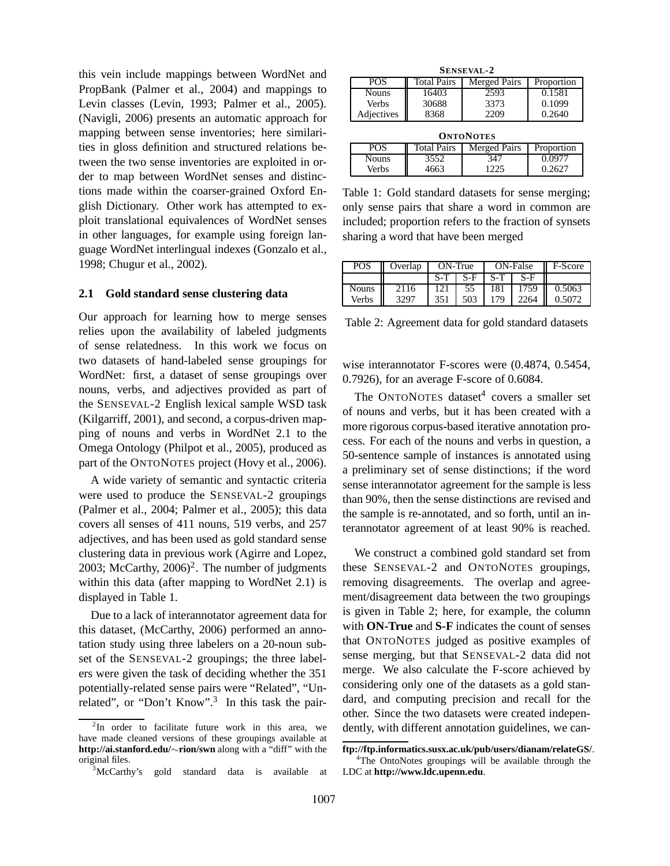this vein include mappings between WordNet and PropBank (Palmer et al., 2004) and mappings to Levin classes (Levin, 1993; Palmer et al., 2005). (Navigli, 2006) presents an automatic approach for mapping between sense inventories; here similarities in gloss definition and structured relations between the two sense inventories are exploited in order to map between WordNet senses and distinctions made within the coarser-grained Oxford English Dictionary. Other work has attempted to exploit translational equivalences of WordNet senses in other languages, for example using foreign language WordNet interlingual indexes (Gonzalo et al., 1998; Chugur et al., 2002).

### **2.1 Gold standard sense clustering data**

Our approach for learning how to merge senses relies upon the availability of labeled judgments of sense relatedness. In this work we focus on two datasets of hand-labeled sense groupings for WordNet: first, a dataset of sense groupings over nouns, verbs, and adjectives provided as part of the SENSEVAL-2 English lexical sample WSD task (Kilgarriff, 2001), and second, a corpus-driven mapping of nouns and verbs in WordNet 2.1 to the Omega Ontology (Philpot et al., 2005), produced as part of the ONTONOTES project (Hovy et al., 2006).

A wide variety of semantic and syntactic criteria were used to produce the SENSEVAL-2 groupings (Palmer et al., 2004; Palmer et al., 2005); this data covers all senses of 411 nouns, 519 verbs, and 257 adjectives, and has been used as gold standard sense clustering data in previous work (Agirre and Lopez, 2003; McCarthy,  $2006$ <sup>2</sup>. The number of judgments within this data (after mapping to WordNet 2.1) is displayed in Table 1.

Due to a lack of interannotator agreement data for this dataset, (McCarthy, 2006) performed an annotation study using three labelers on a 20-noun subset of the SENSEVAL-2 groupings; the three labelers were given the task of deciding whether the 351 potentially-related sense pairs were "Related", "Unrelated", or "Don't Know".<sup>3</sup> In this task the pair-

| <b>SENSEVAL-2</b> |                    |                     |            |  |  |  |  |
|-------------------|--------------------|---------------------|------------|--|--|--|--|
| <b>POS</b>        | <b>Total Pairs</b> | <b>Merged Pairs</b> | Proportion |  |  |  |  |
| <b>Nouns</b>      | 16403              | 2593                | 0.1581     |  |  |  |  |
| Verbs             | 30688              | 3373                | 0.1099     |  |  |  |  |
| Adjectives        | 8368               | 2209                | 0.2640     |  |  |  |  |

| <b>ONTONOTES</b>                                                      |      |      |        |  |  |  |  |
|-----------------------------------------------------------------------|------|------|--------|--|--|--|--|
| <b>Total Pairs</b><br><b>Merged Pairs</b><br><b>POS</b><br>Proportion |      |      |        |  |  |  |  |
| <b>Nouns</b>                                                          | 3552 | 347  | 0.0977 |  |  |  |  |
| Verbs                                                                 | 4663 | 1225 | 0.2627 |  |  |  |  |

Table 1: Gold standard datasets for sense merging; only sense pairs that share a word in common are included; proportion refers to the fraction of synsets sharing a word that have been merged

| POS          | Overlap | ON-True |       | ON-False |      | F-Score |
|--------------|---------|---------|-------|----------|------|---------|
|              |         | $S-T$   | $S-F$ | $S-T$    | S-F  |         |
| <b>Nouns</b> | 2116    |         | 55    | 181      | 1759 | 0.5063  |
| Verbs        | 3293    | 351     | 503   | 70       |      | 0.5072  |

Table 2: Agreement data for gold standard datasets

wise interannotator F-scores were (0.4874, 0.5454, 0.7926), for an average F-score of 0.6084.

The ONTONOTES dataset $4$  covers a smaller set of nouns and verbs, but it has been created with a more rigorous corpus-based iterative annotation process. For each of the nouns and verbs in question, a 50-sentence sample of instances is annotated using a preliminary set of sense distinctions; if the word sense interannotator agreement for the sample is less than 90%, then the sense distinctions are revised and the sample is re-annotated, and so forth, until an interannotator agreement of at least 90% is reached.

We construct a combined gold standard set from these SENSEVAL-2 and ONTONOTES groupings, removing disagreements. The overlap and agreement/disagreement data between the two groupings is given in Table 2; here, for example, the column with **ON-True** and **S-F** indicates the count of senses that ONTONOTES judged as positive examples of sense merging, but that SENSEVAL-2 data did not merge. We also calculate the F-score achieved by considering only one of the datasets as a gold standard, and computing precision and recall for the other. Since the two datasets were created independently, with different annotation guidelines, we can-

<sup>&</sup>lt;sup>2</sup>In order to facilitate future work in this area, we have made cleaned versions of these groupings available at **http://ai.stanford.edu/**∼**rion/swn** along with a "diff" with the original files.

<sup>3</sup>McCarthy's gold standard data is available at

**ftp://ftp.informatics.susx.ac.uk/pub/users/dianam/relateGS/**.

<sup>&</sup>lt;sup>4</sup>The OntoNotes groupings will be available through the LDC at **http://www.ldc.upenn.edu**.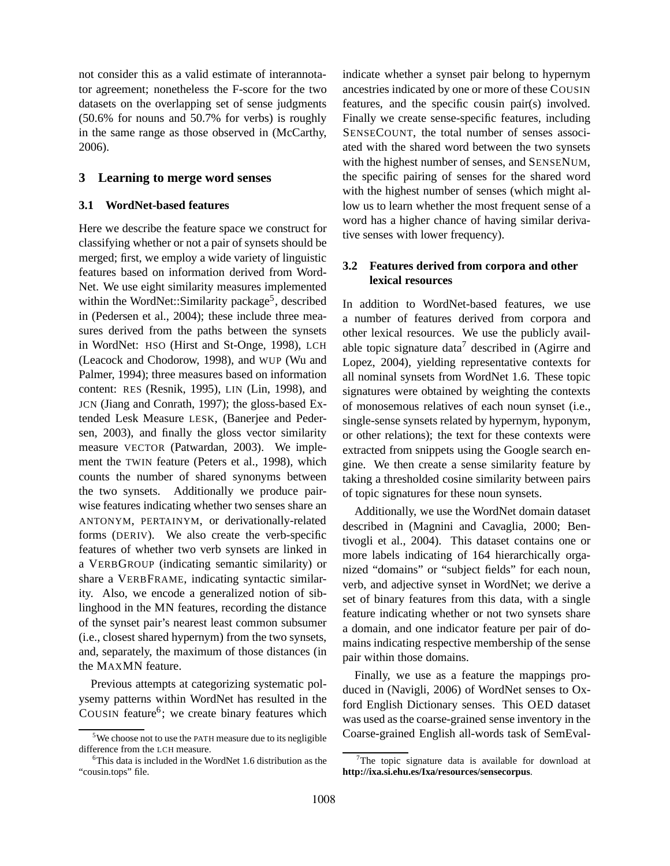not consider this as a valid estimate of interannotator agreement; nonetheless the F-score for the two datasets on the overlapping set of sense judgments (50.6% for nouns and 50.7% for verbs) is roughly in the same range as those observed in (McCarthy, 2006).

## **3 Learning to merge word senses**

### **3.1 WordNet-based features**

Here we describe the feature space we construct for classifying whether or not a pair of synsets should be merged; first, we employ a wide variety of linguistic features based on information derived from Word-Net. We use eight similarity measures implemented within the WordNet::Similarity package<sup>5</sup>, described in (Pedersen et al., 2004); these include three measures derived from the paths between the synsets in WordNet: HSO (Hirst and St-Onge, 1998), LCH (Leacock and Chodorow, 1998), and WUP (Wu and Palmer, 1994); three measures based on information content: RES (Resnik, 1995), LIN (Lin, 1998), and JCN (Jiang and Conrath, 1997); the gloss-based Extended Lesk Measure LESK, (Banerjee and Pedersen, 2003), and finally the gloss vector similarity measure VECTOR (Patwardan, 2003). We implement the TWIN feature (Peters et al., 1998), which counts the number of shared synonyms between the two synsets. Additionally we produce pairwise features indicating whether two senses share an ANTONYM, PERTAINYM, or derivationally-related forms (DERIV). We also create the verb-specific features of whether two verb synsets are linked in a VERBGROUP (indicating semantic similarity) or share a VERBFRAME, indicating syntactic similarity. Also, we encode a generalized notion of siblinghood in the MN features, recording the distance of the synset pair's nearest least common subsumer (i.e., closest shared hypernym) from the two synsets, and, separately, the maximum of those distances (in the MAXMN feature.

Previous attempts at categorizing systematic polysemy patterns within WordNet has resulted in the COUSIN feature<sup>6</sup>; we create binary features which

indicate whether a synset pair belong to hypernym ancestries indicated by one or more of these COUSIN features, and the specific cousin pair(s) involved. Finally we create sense-specific features, including SENSECOUNT, the total number of senses associated with the shared word between the two synsets with the highest number of senses, and SENSENUM, the specific pairing of senses for the shared word with the highest number of senses (which might allow us to learn whether the most frequent sense of a word has a higher chance of having similar derivative senses with lower frequency).

## **3.2 Features derived from corpora and other lexical resources**

In addition to WordNet-based features, we use a number of features derived from corpora and other lexical resources. We use the publicly available topic signature data<sup>7</sup> described in (Agirre and Lopez, 2004), yielding representative contexts for all nominal synsets from WordNet 1.6. These topic signatures were obtained by weighting the contexts of monosemous relatives of each noun synset (i.e., single-sense synsets related by hypernym, hyponym, or other relations); the text for these contexts were extracted from snippets using the Google search engine. We then create a sense similarity feature by taking a thresholded cosine similarity between pairs of topic signatures for these noun synsets.

Additionally, we use the WordNet domain dataset described in (Magnini and Cavaglia, 2000; Bentivogli et al., 2004). This dataset contains one or more labels indicating of 164 hierarchically organized "domains" or "subject fields" for each noun, verb, and adjective synset in WordNet; we derive a set of binary features from this data, with a single feature indicating whether or not two synsets share a domain, and one indicator feature per pair of domains indicating respective membership of the sense pair within those domains.

Finally, we use as a feature the mappings produced in (Navigli, 2006) of WordNet senses to Oxford English Dictionary senses. This OED dataset was used as the coarse-grained sense inventory in the Coarse-grained English all-words task of SemEval-

 $5$ We choose not to use the PATH measure due to its negligible difference from the LCH measure.

<sup>&</sup>lt;sup>6</sup>This data is included in the WordNet 1.6 distribution as the "cousin.tops" file.

<sup>7</sup>The topic signature data is available for download at **http://ixa.si.ehu.es/Ixa/resources/sensecorpus**.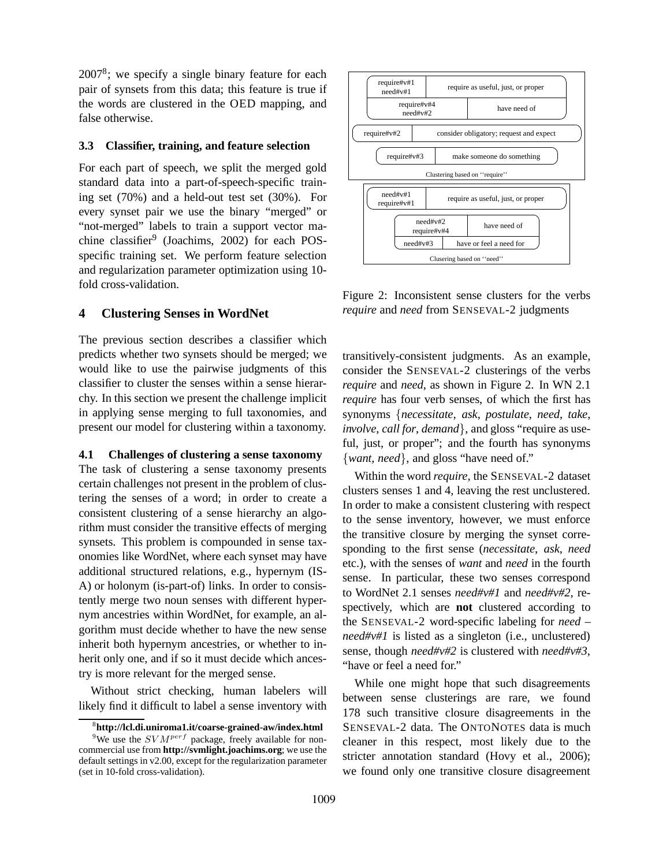$2007<sup>8</sup>$ ; we specify a single binary feature for each pair of synsets from this data; this feature is true if the words are clustered in the OED mapping, and false otherwise.

## **3.3 Classifier, training, and feature selection**

For each part of speech, we split the merged gold standard data into a part-of-speech-specific training set (70%) and a held-out test set (30%). For every synset pair we use the binary "merged" or "not-merged" labels to train a support vector machine classifier<sup>9</sup> (Joachims, 2002) for each POSspecific training set. We perform feature selection and regularization parameter optimization using 10 fold cross-validation.

## **4 Clustering Senses in WordNet**

The previous section describes a classifier which predicts whether two synsets should be merged; we would like to use the pairwise judgments of this classifier to cluster the senses within a sense hierarchy. In this section we present the challenge implicit in applying sense merging to full taxonomies, and present our model for clustering within a taxonomy.

## **4.1 Challenges of clustering a sense taxonomy**

The task of clustering a sense taxonomy presents certain challenges not present in the problem of clustering the senses of a word; in order to create a consistent clustering of a sense hierarchy an algorithm must consider the transitive effects of merging synsets. This problem is compounded in sense taxonomies like WordNet, where each synset may have additional structured relations, e.g., hypernym (IS-A) or holonym (is-part-of) links. In order to consistently merge two noun senses with different hypernym ancestries within WordNet, for example, an algorithm must decide whether to have the new sense inherit both hypernym ancestries, or whether to inherit only one, and if so it must decide which ancestry is more relevant for the merged sense.

Without strict checking, human labelers will likely find it difficult to label a sense inventory with



Figure 2: Inconsistent sense clusters for the verbs *require* and *need* from SENSEVAL-2 judgments

transitively-consistent judgments. As an example, consider the SENSEVAL-2 clusterings of the verbs *require* and *need*, as shown in Figure 2. In WN 2.1 *require* has four verb senses, of which the first has synonyms {*necessitate*, *ask*, *postulate*, *need*, *take*, *involve*, *call for*, *demand*}, and gloss "require as useful, just, or proper"; and the fourth has synonyms {*want*, *need*}, and gloss "have need of."

Within the word *require*, the SENSEVAL-2 dataset clusters senses 1 and 4, leaving the rest unclustered. In order to make a consistent clustering with respect to the sense inventory, however, we must enforce the transitive closure by merging the synset corresponding to the first sense (*necessitate*, *ask*, *need* etc.), with the senses of *want* and *need* in the fourth sense. In particular, these two senses correspond to WordNet 2.1 senses *need#v#1* and *need#v#2*, respectively, which are **not** clustered according to the SENSEVAL-2 word-specific labeling for *need* – *need#v#1* is listed as a singleton (i.e., unclustered) sense, though *need#v#2* is clustered with *need#v#3*, "have or feel a need for."

While one might hope that such disagreements between sense clusterings are rare, we found 178 such transitive closure disagreements in the SENSEVAL-2 data. The ONTONOTES data is much cleaner in this respect, most likely due to the stricter annotation standard (Hovy et al., 2006); we found only one transitive closure disagreement

<sup>8</sup> **http://lcl.di.uniroma1.it/coarse-grained-aw/index.html**

<sup>&</sup>lt;sup>9</sup>We use the  $SVM^{perf}$  package, freely available for noncommercial use from **http://svmlight.joachims.org**; we use the default settings in v2.00, except for the regularization parameter (set in 10-fold cross-validation).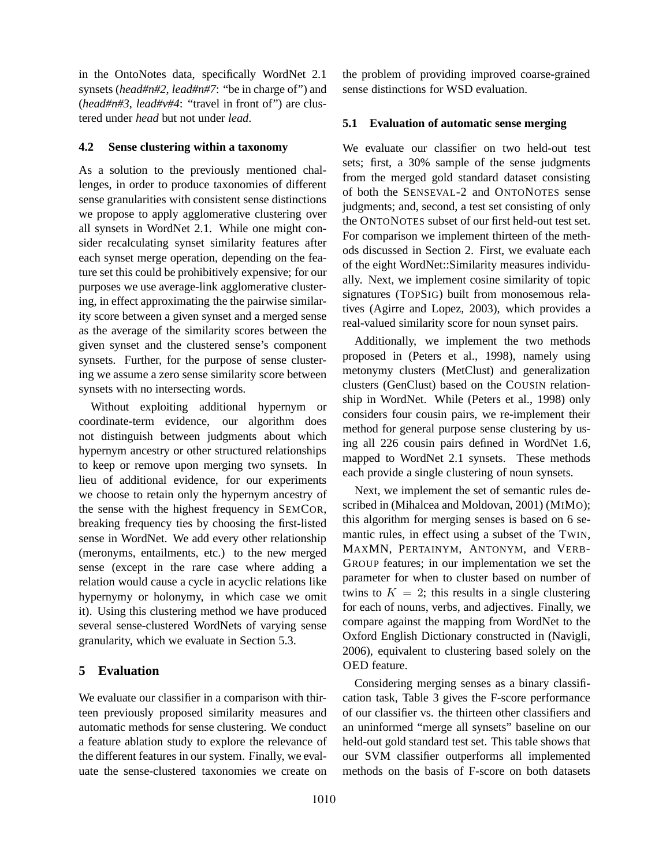in the OntoNotes data, specifically WordNet 2.1 synsets (*head#n#2*, *lead#n#7*: "be in charge of") and (*head#n#3*, *lead#v#4*: "travel in front of") are clustered under *head* but not under *lead*.

## **4.2 Sense clustering within a taxonomy**

As a solution to the previously mentioned challenges, in order to produce taxonomies of different sense granularities with consistent sense distinctions we propose to apply agglomerative clustering over all synsets in WordNet 2.1. While one might consider recalculating synset similarity features after each synset merge operation, depending on the feature set this could be prohibitively expensive; for our purposes we use average-link agglomerative clustering, in effect approximating the the pairwise similarity score between a given synset and a merged sense as the average of the similarity scores between the given synset and the clustered sense's component synsets. Further, for the purpose of sense clustering we assume a zero sense similarity score between synsets with no intersecting words.

Without exploiting additional hypernym or coordinate-term evidence, our algorithm does not distinguish between judgments about which hypernym ancestry or other structured relationships to keep or remove upon merging two synsets. In lieu of additional evidence, for our experiments we choose to retain only the hypernym ancestry of the sense with the highest frequency in SEMCOR, breaking frequency ties by choosing the first-listed sense in WordNet. We add every other relationship (meronyms, entailments, etc.) to the new merged sense (except in the rare case where adding a relation would cause a cycle in acyclic relations like hypernymy or holonymy, in which case we omit it). Using this clustering method we have produced several sense-clustered WordNets of varying sense granularity, which we evaluate in Section 5.3.

## **5 Evaluation**

We evaluate our classifier in a comparison with thirteen previously proposed similarity measures and automatic methods for sense clustering. We conduct a feature ablation study to explore the relevance of the different features in our system. Finally, we evaluate the sense-clustered taxonomies we create on the problem of providing improved coarse-grained sense distinctions for WSD evaluation.

## **5.1 Evaluation of automatic sense merging**

We evaluate our classifier on two held-out test sets; first, a 30% sample of the sense judgments from the merged gold standard dataset consisting of both the SENSEVAL-2 and ONTONOTES sense judgments; and, second, a test set consisting of only the ONTONOTES subset of our first held-out test set. For comparison we implement thirteen of the methods discussed in Section 2. First, we evaluate each of the eight WordNet::Similarity measures individually. Next, we implement cosine similarity of topic signatures (TOPSIG) built from monosemous relatives (Agirre and Lopez, 2003), which provides a real-valued similarity score for noun synset pairs.

Additionally, we implement the two methods proposed in (Peters et al., 1998), namely using metonymy clusters (MetClust) and generalization clusters (GenClust) based on the COUSIN relationship in WordNet. While (Peters et al., 1998) only considers four cousin pairs, we re-implement their method for general purpose sense clustering by using all 226 cousin pairs defined in WordNet 1.6, mapped to WordNet 2.1 synsets. These methods each provide a single clustering of noun synsets.

Next, we implement the set of semantic rules described in (Mihalcea and Moldovan, 2001) (MIMO); this algorithm for merging senses is based on 6 semantic rules, in effect using a subset of the TWIN, MAXMN, PERTAINYM, ANTONYM, and VERB-GROUP features; in our implementation we set the parameter for when to cluster based on number of twins to  $K = 2$ ; this results in a single clustering for each of nouns, verbs, and adjectives. Finally, we compare against the mapping from WordNet to the Oxford English Dictionary constructed in (Navigli, 2006), equivalent to clustering based solely on the OED feature.

Considering merging senses as a binary classification task, Table 3 gives the F-score performance of our classifier vs. the thirteen other classifiers and an uninformed "merge all synsets" baseline on our held-out gold standard test set. This table shows that our SVM classifier outperforms all implemented methods on the basis of F-score on both datasets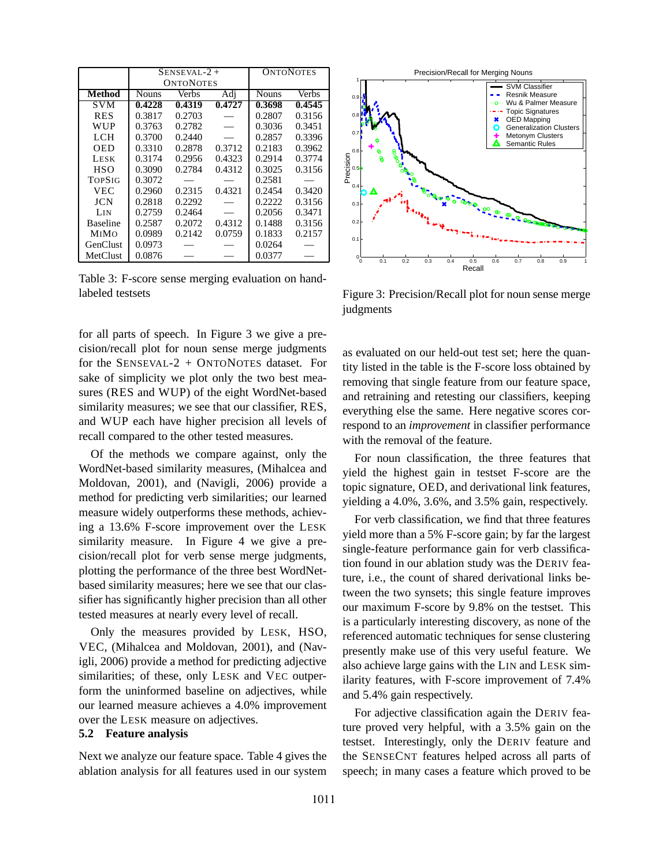|                 |              | $SENSEVAL-2 +$   | <b>ONTONOTES</b> |              |              |
|-----------------|--------------|------------------|------------------|--------------|--------------|
|                 |              | <b>ONTONOTES</b> |                  |              |              |
| <b>Method</b>   | <b>Nouns</b> | Verbs            | Adi              | <b>Nouns</b> | <b>Verbs</b> |
| <b>SVM</b>      | 0.4228       | 0.4319           | 0.4727           | 0.3698       | 0.4545       |
| <b>RES</b>      | 0.3817       | 0.2703           |                  | 0.2807       | 0.3156       |
| WUP             | 0.3763       | 0.2782           |                  | 0.3036       | 0.3451       |
| LCH             | 0.3700       | 0.2440           |                  | 0.2857       | 0.3396       |
| OED             | 0.3310       | 0.2878           | 0.3712           | 0.2183       | 0.3962       |
| <b>LESK</b>     | 0.3174       | 0.2956           | 0.4323           | 0.2914       | 0.3774       |
| <b>HSO</b>      | 0.3090       | 0.2784           | 0.4312           | 0.3025       | 0.3156       |
| <b>TOPSIG</b>   | 0.3072       |                  |                  | 0.2581       |              |
| VEC             | 0.2960       | 0.2315           | 0.4321           | 0.2454       | 0.3420       |
| JCN             | 0.2818       | 0.2292           |                  | 0.2222       | 0.3156       |
| LIN             | 0.2759       | 0.2464           |                  | 0.2056       | 0.3471       |
| <b>Baseline</b> | 0.2587       | 0.2072           | 0.4312           | 0.1488       | 0.3156       |
| <b>MIMO</b>     | 0.0989       | 0.2142           | 0.0759           | 0.1833       | 0.2157       |
| GenClust        | 0.0973       |                  |                  | 0.0264       |              |
| MetClust        | 0.0876       |                  |                  | 0.0377       |              |

Table 3: F-score sense merging evaluation on handlabeled testsets

for all parts of speech. In Figure 3 we give a precision/recall plot for noun sense merge judgments for the SENSEVAL-2 + ONTONOTES dataset. For sake of simplicity we plot only the two best measures (RES and WUP) of the eight WordNet-based similarity measures; we see that our classifier, RES, and WUP each have higher precision all levels of recall compared to the other tested measures.

Of the methods we compare against, only the WordNet-based similarity measures, (Mihalcea and Moldovan, 2001), and (Navigli, 2006) provide a method for predicting verb similarities; our learned measure widely outperforms these methods, achieving a 13.6% F-score improvement over the LESK similarity measure. In Figure 4 we give a precision/recall plot for verb sense merge judgments, plotting the performance of the three best WordNetbased similarity measures; here we see that our classifier has significantly higher precision than all other tested measures at nearly every level of recall.

Only the measures provided by LESK, HSO, VEC, (Mihalcea and Moldovan, 2001), and (Navigli, 2006) provide a method for predicting adjective similarities; of these, only LESK and VEC outperform the uninformed baseline on adjectives, while our learned measure achieves a 4.0% improvement over the LESK measure on adjectives.

### **5.2 Feature analysis**

Next we analyze our feature space. Table 4 gives the ablation analysis for all features used in our system



Figure 3: Precision/Recall plot for noun sense merge judgments

as evaluated on our held-out test set; here the quantity listed in the table is the F-score loss obtained by removing that single feature from our feature space, and retraining and retesting our classifiers, keeping everything else the same. Here negative scores correspond to an *improvement* in classifier performance with the removal of the feature.

For noun classification, the three features that yield the highest gain in testset F-score are the topic signature, OED, and derivational link features, yielding a 4.0%, 3.6%, and 3.5% gain, respectively.

For verb classification, we find that three features yield more than a 5% F-score gain; by far the largest single-feature performance gain for verb classification found in our ablation study was the DERIV feature, i.e., the count of shared derivational links between the two synsets; this single feature improves our maximum F-score by 9.8% on the testset. This is a particularly interesting discovery, as none of the referenced automatic techniques for sense clustering presently make use of this very useful feature. We also achieve large gains with the LIN and LESK similarity features, with F-score improvement of 7.4% and 5.4% gain respectively.

For adjective classification again the DERIV feature proved very helpful, with a 3.5% gain on the testset. Interestingly, only the DERIV feature and the SENSECNT features helped across all parts of speech; in many cases a feature which proved to be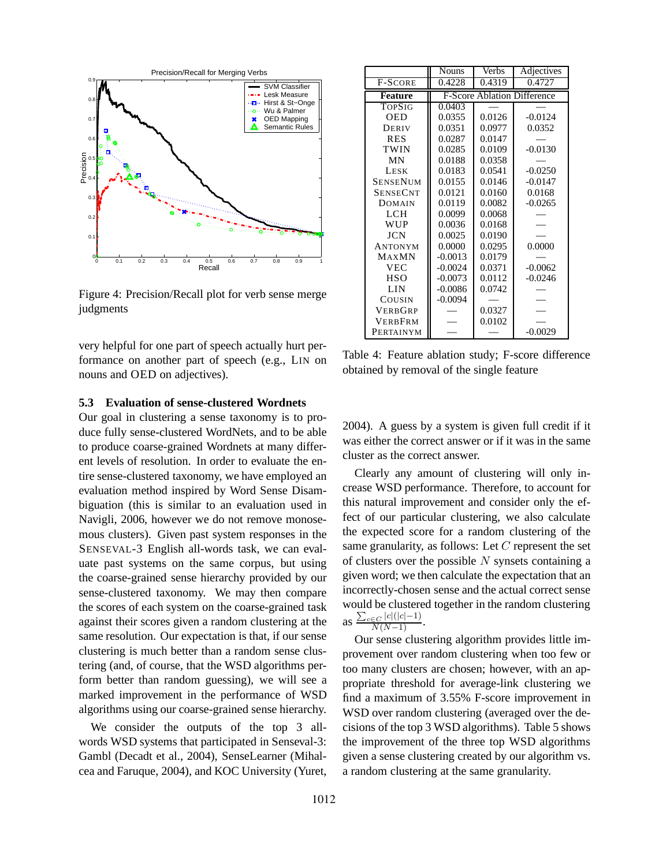

Figure 4: Precision/Recall plot for verb sense merge judgments

very helpful for one part of speech actually hurt performance on another part of speech (e.g., LIN on nouns and OED on adjectives).

|                 | <b>Nouns</b> | Verbs                              | Adjectives |  |
|-----------------|--------------|------------------------------------|------------|--|
| <b>F-SCORE</b>  | 0.4228       | 0.4319                             | 0.4727     |  |
| <b>Feature</b>  |              | <b>F-Score Ablation Difference</b> |            |  |
| <b>TOPSIG</b>   | 0.0403       |                                    |            |  |
| <b>OED</b>      | 0.0355       | 0.0126                             | $-0.0124$  |  |
| DERIV           | 0.0351       | 0.0977                             | 0.0352     |  |
| <b>RES</b>      | 0.0287       | 0.0147                             |            |  |
| TWIN            | 0.0285       | 0.0109                             | $-0.0130$  |  |
| MΝ              | 0.0188       | 0.0358                             |            |  |
| <b>LESK</b>     | 0.0183       | 0.0541                             | $-0.0250$  |  |
| SENSENUM        | 0.0155       | 0.0146                             | $-0.0147$  |  |
| <b>SENSECNT</b> | 0.0121       | 0.0160                             | 0.0168     |  |
| <b>DOMAIN</b>   | 0.0119       | 0.0082                             | $-0.0265$  |  |
| <b>LCH</b>      | 0.0099       | 0.0068                             |            |  |
| <b>WUP</b>      | 0.0036       | 0.0168                             |            |  |
| JCN             | 0.0025       | 0.0190                             |            |  |
| ANTONYM         | 0.0000       | 0.0295                             | 0.0000     |  |
| <b>MAXMN</b>    | $-0.0013$    | 0.0179                             |            |  |
| <b>VEC</b>      | $-0.0024$    | 0.0371                             | $-0.0062$  |  |
| <b>HSO</b>      | $-0.0073$    | 0.0112                             | -0.0246    |  |
| LIN             | $-0.0086$    | 0.0742                             |            |  |
| COUSIN          | $-0.0094$    |                                    |            |  |
| <b>VERBGRP</b>  |              | 0.0327                             |            |  |
| <b>VERBFRM</b>  |              | 0.0102                             |            |  |
| PERTAINYM       |              |                                    | $-0.0029$  |  |

Table 4: Feature ablation study; F-score difference obtained by removal of the single feature

## **5.3 Evaluation of sense-clustered Wordnets**

Our goal in clustering a sense taxonomy is to produce fully sense-clustered WordNets, and to be able to produce coarse-grained Wordnets at many different levels of resolution. In order to evaluate the entire sense-clustered taxonomy, we have employed an evaluation method inspired by Word Sense Disambiguation (this is similar to an evaluation used in Navigli, 2006, however we do not remove monosemous clusters). Given past system responses in the SENSEVAL-3 English all-words task, we can evaluate past systems on the same corpus, but using the coarse-grained sense hierarchy provided by our sense-clustered taxonomy. We may then compare the scores of each system on the coarse-grained task against their scores given a random clustering at the same resolution. Our expectation is that, if our sense clustering is much better than a random sense clustering (and, of course, that the WSD algorithms perform better than random guessing), we will see a marked improvement in the performance of WSD algorithms using our coarse-grained sense hierarchy.

We consider the outputs of the top 3 allwords WSD systems that participated in Senseval-3: Gambl (Decadt et al., 2004), SenseLearner (Mihalcea and Faruque, 2004), and KOC University (Yuret, 2004). A guess by a system is given full credit if it was either the correct answer or if it was in the same cluster as the correct answer.

Clearly any amount of clustering will only increase WSD performance. Therefore, to account for this natural improvement and consider only the effect of our particular clustering, we also calculate the expected score for a random clustering of the same granularity, as follows: Let  $C$  represent the set of clusters over the possible  $N$  synsets containing a given word; we then calculate the expectation that an incorrectly-chosen sense and the actual correct sense would be clustered together in the random clustering as  $\frac{\sum_{c \in C} |c|(|c|-1)}{N(N-1)}$ .

Our sense clustering algorithm provides little improvement over random clustering when too few or too many clusters are chosen; however, with an appropriate threshold for average-link clustering we find a maximum of 3.55% F-score improvement in WSD over random clustering (averaged over the decisions of the top 3 WSD algorithms). Table 5 shows the improvement of the three top WSD algorithms given a sense clustering created by our algorithm vs. a random clustering at the same granularity.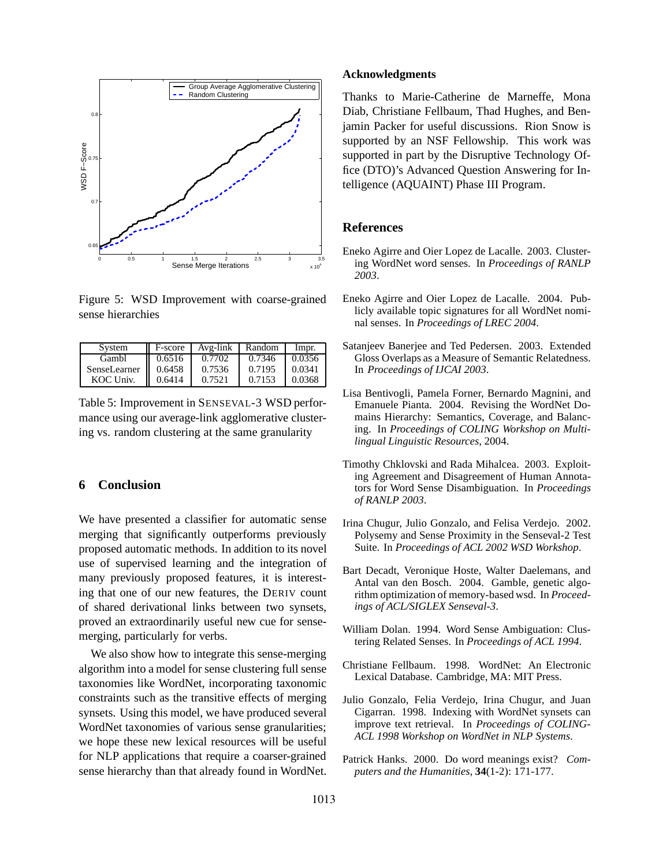

Figure 5: WSD Improvement with coarse-grained sense hierarchies

| System       | F-score | Avg-link | Random | Impr.  |
|--------------|---------|----------|--------|--------|
| Gambl        | 0.6516  | 0.7702   | 0.7346 | 0.0356 |
| SenseLearner | 0.6458  | 0.7536   | 0.7195 | 0.0341 |
| KOC Univ.    | 0.6414  | 0.7521   | 0.7153 | 0.0368 |

Table 5: Improvement in SENSEVAL-3 WSD performance using our average-link agglomerative clustering vs. random clustering at the same granularity

### **6 Conclusion**

We have presented a classifier for automatic sense merging that significantly outperforms previously proposed automatic methods. In addition to its novel use of supervised learning and the integration of many previously proposed features, it is interesting that one of our new features, the DERIV count of shared derivational links between two synsets, proved an extraordinarily useful new cue for sensemerging, particularly for verbs.

We also show how to integrate this sense-merging algorithm into a model for sense clustering full sense taxonomies like WordNet, incorporating taxonomic constraints such as the transitive effects of merging synsets. Using this model, we have produced several WordNet taxonomies of various sense granularities; we hope these new lexical resources will be useful for NLP applications that require a coarser-grained sense hierarchy than that already found in WordNet.

#### **Acknowledgments**

Thanks to Marie-Catherine de Marneffe, Mona Diab, Christiane Fellbaum, Thad Hughes, and Benjamin Packer for useful discussions. Rion Snow is supported by an NSF Fellowship. This work was supported in part by the Disruptive Technology Office (DTO)'s Advanced Question Answering for Intelligence (AQUAINT) Phase III Program.

### **References**

- Eneko Agirre and Oier Lopez de Lacalle. 2003. Clustering WordNet word senses. In *Proceedings of RANLP 2003*.
- Eneko Agirre and Oier Lopez de Lacalle. 2004. Publicly available topic signatures for all WordNet nominal senses. In *Proceedings of LREC 2004*.
- Satanjeev Banerjee and Ted Pedersen. 2003. Extended Gloss Overlaps as a Measure of Semantic Relatedness. In *Proceedings of IJCAI 2003*.
- Lisa Bentivogli, Pamela Forner, Bernardo Magnini, and Emanuele Pianta. 2004. Revising the WordNet Domains Hierarchy: Semantics, Coverage, and Balancing. In *Proceedings of COLING Workshop on Multilingual Linguistic Resources*, 2004.
- Timothy Chklovski and Rada Mihalcea. 2003. Exploiting Agreement and Disagreement of Human Annotators for Word Sense Disambiguation. In *Proceedings of RANLP 2003*.
- Irina Chugur, Julio Gonzalo, and Felisa Verdejo. 2002. Polysemy and Sense Proximity in the Senseval-2 Test Suite. In *Proceedings of ACL 2002 WSD Workshop*.
- Bart Decadt, Veronique Hoste, Walter Daelemans, and Antal van den Bosch. 2004. Gamble, genetic algorithm optimization of memory-based wsd. In *Proceedings of ACL/SIGLEX Senseval-3*.
- William Dolan. 1994. Word Sense Ambiguation: Clustering Related Senses. In *Proceedings of ACL 1994*.
- Christiane Fellbaum. 1998. WordNet: An Electronic Lexical Database. Cambridge, MA: MIT Press.
- Julio Gonzalo, Felia Verdejo, Irina Chugur, and Juan Cigarran. 1998. Indexing with WordNet synsets can improve text retrieval. In *Proceedings of COLING-ACL 1998 Workshop on WordNet in NLP Systems*.
- Patrick Hanks. 2000. Do word meanings exist? *Computers and the Humanities*, **34**(1-2): 171-177.